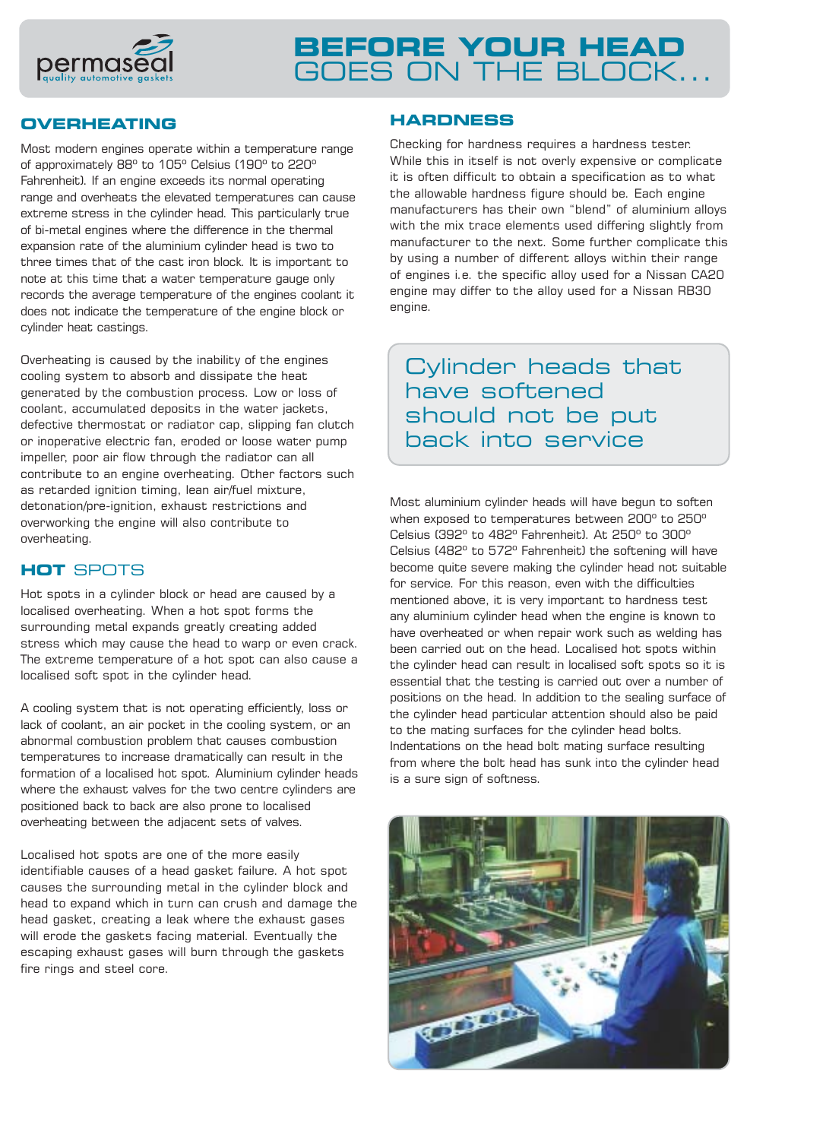

## **OVERHEATING**

Most modern engines operate within a temperature range of approximately 88º to 105º Celsius (190º to 220º Fahrenheit). If an engine exceeds its normal operating range and overheats the elevated temperatures can cause extreme stress in the cylinder head. This particularly true of bi-metal engines where the difference in the thermal expansion rate of the aluminium cylinder head is two to three times that of the cast iron block. It is important to note at this time that a water temperature gauge only records the average temperature of the engines coolant it does not indicate the temperature of the engine block or cylinder heat castings.

Overheating is caused by the inability of the engines cooling system to absorb and dissipate the heat generated by the combustion process. Low or loss of coolant, accumulated deposits in the water jackets, defective thermostat or radiator cap, slipping fan clutch or inoperative electric fan, eroded or loose water pump impeller, poor air flow through the radiator can all contribute to an engine overheating. Other factors such as retarded ignition timing, lean air/fuel mixture, detonation/pre-ignition, exhaust restrictions and overworking the engine will also contribute to overheating.

## **HOT** SPOTS

Hot spots in a cylinder block or head are caused by a localised overheating. When a hot spot forms the surrounding metal expands greatly creating added stress which may cause the head to warp or even crack. The extreme temperature of a hot spot can also cause a localised soft spot in the cylinder head.

A cooling system that is not operating efficiently, loss or lack of coolant, an air pocket in the cooling system, or an abnormal combustion problem that causes combustion temperatures to increase dramatically can result in the formation of a localised hot spot. Aluminium cylinder heads where the exhaust valves for the two centre cylinders are positioned back to back are also prone to localised overheating between the adjacent sets of valves.

Localised hot spots are one of the more easily identifiable causes of a head gasket failure. A hot spot causes the surrounding metal in the cylinder block and head to expand which in turn can crush and damage the head gasket, creating a leak where the exhaust gases will erode the gaskets facing material. Eventually the escaping exhaust gases will burn through the gaskets fire rings and steel core.

## **HARDNESS**

Checking for hardness requires a hardness tester. While this in itself is not overly expensive or complicate it is often difficult to obtain a specification as to what the allowable hardness figure should be. Each engine manufacturers has their own "blend" of aluminium alloys with the mix trace elements used differing slightly from manufacturer to the next. Some further complicate this by using a number of different alloys within their range of engines i.e. the specific alloy used for a Nissan CA20 engine may differ to the alloy used for a Nissan RB30 engine.

Cylinder heads that have softened should not be put back into service

Most aluminium cylinder heads will have begun to soften when exposed to temperatures between 200º to 250º Celsius (392º to 482º Fahrenheit). At 250º to 300º Celsius (482º to 572º Fahrenheit) the softening will have become quite severe making the cylinder head not suitable for service. For this reason, even with the difficulties mentioned above, it is very important to hardness test any aluminium cylinder head when the engine is known to have overheated or when repair work such as welding has been carried out on the head. Localised hot spots within the cylinder head can result in localised soft spots so it is essential that the testing is carried out over a number of positions on the head. In addition to the sealing surface of the cylinder head particular attention should also be paid to the mating surfaces for the cylinder head bolts. Indentations on the head bolt mating surface resulting from where the bolt head has sunk into the cylinder head is a sure sign of softness.

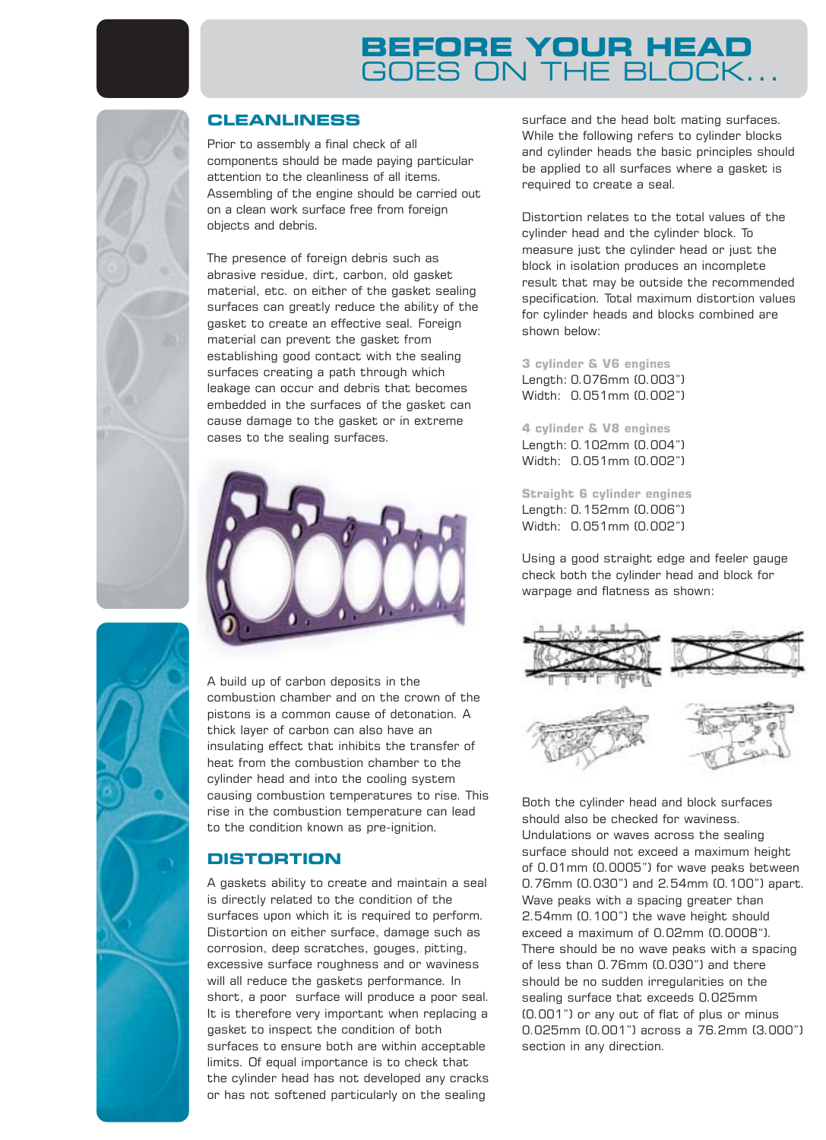## **CLEANLINESS**

Prior to assembly a final check of all components should be made paying particular attention to the cleanliness of all items. Assembling of the engine should be carried out on a clean work surface free from foreign objects and debris.

The presence of foreign debris such as abrasive residue, dirt, carbon, old gasket material, etc. on either of the gasket sealing surfaces can greatly reduce the ability of the gasket to create an effective seal. Foreign material can prevent the gasket from establishing good contact with the sealing surfaces creating a path through which leakage can occur and debris that becomes embedded in the surfaces of the gasket can cause damage to the gasket or in extreme cases to the sealing surfaces.



A build up of carbon deposits in the combustion chamber and on the crown of the pistons is a common cause of detonation. A thick layer of carbon can also have an insulating effect that inhibits the transfer of heat from the combustion chamber to the cylinder head and into the cooling system causing combustion temperatures to rise. This rise in the combustion temperature can lead to the condition known as pre-ignition.

## **DISTORTION**

A gaskets ability to create and maintain a seal is directly related to the condition of the surfaces upon which it is required to perform. Distortion on either surface, damage such as corrosion, deep scratches, gouges, pitting, excessive surface roughness and or waviness will all reduce the gaskets performance. In short, a poor surface will produce a poor seal. It is therefore very important when replacing a gasket to inspect the condition of both surfaces to ensure both are within acceptable limits. Of equal importance is to check that the cylinder head has not developed any cracks or has not softened particularly on the sealing

surface and the head bolt mating surfaces. While the following refers to cylinder blocks and cylinder heads the basic principles should be applied to all surfaces where a gasket is required to create a seal.

Distortion relates to the total values of the cylinder head and the cylinder block. To measure just the cylinder head or just the block in isolation produces an incomplete result that may be outside the recommended specification. Total maximum distortion values for cylinder heads and blocks combined are shown below:

**3 cylinder & V6 engines** Length: 0.076mm (0.003") Width: 0.051mm (0.002")

**4 cylinder & V8 engines** Length: 0.102mm (0.004") Width: 0.051mm (0.002")

**Straight 6 cylinder engines** Length: 0.152mm (0.006") Width: 0.051mm (0.002")

Using a good straight edge and feeler gauge check both the cylinder head and block for warpage and flatness as shown:



Both the cylinder head and block surfaces should also be checked for waviness. Undulations or waves across the sealing surface should not exceed a maximum height of 0.01mm (0.0005") for wave peaks between 0.76mm (0.030") and 2.54mm (0.100") apart. Wave peaks with a spacing greater than 2.54mm (0.100") the wave height should exceed a maximum of 0.02mm (0.0008"). There should be no wave peaks with a spacing of less than 0.76mm (0.030") and there should be no sudden irregularities on the sealing surface that exceeds 0.025mm (0.001") or any out of flat of plus or minus 0.025mm (0.001") across a 76.2mm (3.000") section in any direction.

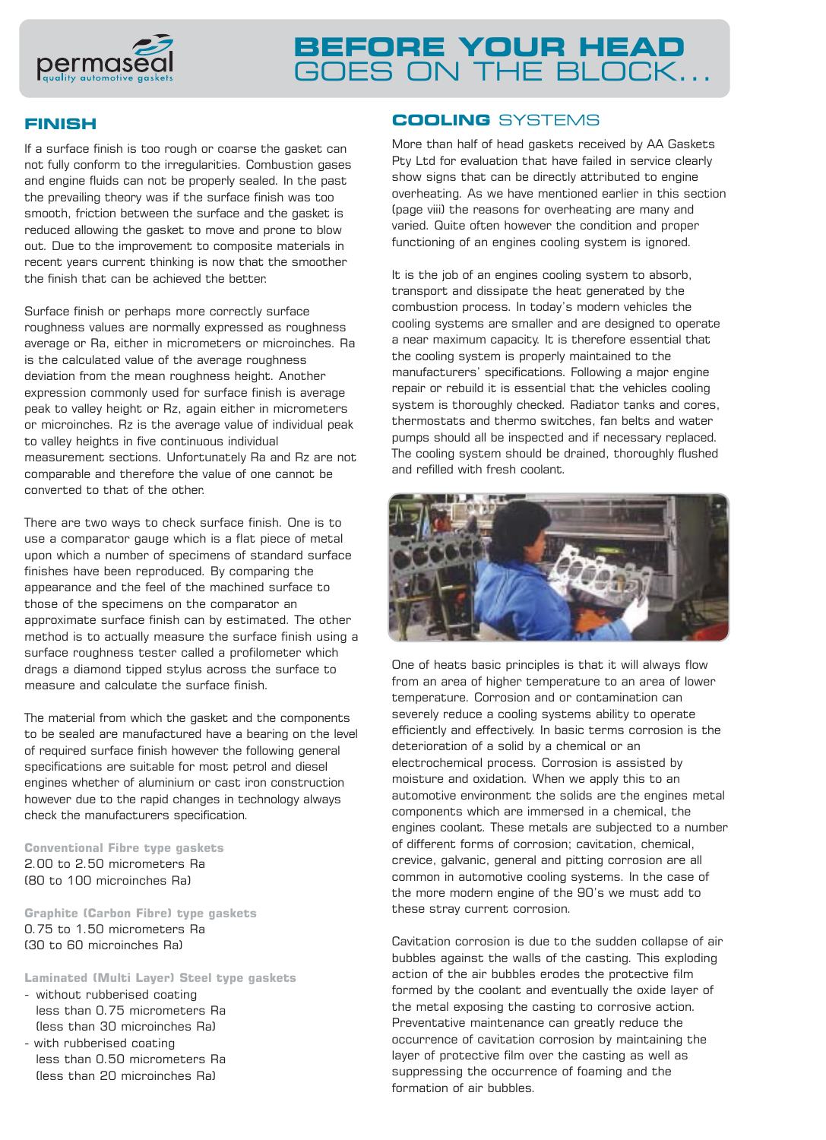

### **FINISH**

If a surface finish is too rough or coarse the gasket can not fully conform to the irregularities. Combustion gases and engine fluids can not be properly sealed. In the past the prevailing theory was if the surface finish was too smooth, friction between the surface and the gasket is reduced allowing the gasket to move and prone to blow out. Due to the improvement to composite materials in recent years current thinking is now that the smoother the finish that can be achieved the better.

Surface finish or perhaps more correctly surface roughness values are normally expressed as roughness average or Ra, either in micrometers or microinches. Ra is the calculated value of the average roughness deviation from the mean roughness height. Another expression commonly used for surface finish is average peak to valley height or Rz, again either in micrometers or microinches. Rz is the average value of individual peak to valley heights in five continuous individual measurement sections. Unfortunately Ra and Rz are not comparable and therefore the value of one cannot be converted to that of the other.

There are two ways to check surface finish. One is to use a comparator gauge which is a flat piece of metal upon which a number of specimens of standard surface finishes have been reproduced. By comparing the appearance and the feel of the machined surface to those of the specimens on the comparator an approximate surface finish can by estimated. The other method is to actually measure the surface finish using a surface roughness tester called a profilometer which drags a diamond tipped stylus across the surface to measure and calculate the surface finish.

The material from which the gasket and the components to be sealed are manufactured have a bearing on the level of required surface finish however the following general specifications are suitable for most petrol and diesel engines whether of aluminium or cast iron construction however due to the rapid changes in technology always check the manufacturers specification.

**Conventional Fibre type gaskets** 2.00 to 2.50 micrometers Ra (80 to 100 microinches Ra)

**Graphite (Carbon Fibre) type gaskets** 0.75 to 1.50 micrometers Ra (30 to 60 microinches Ra)

**Laminated (Multi Layer) Steel type gaskets**

- without rubberised coating less than 0.75 micrometers Ra (less than 30 microinches Ra)
- with rubberised coating less than 0.50 micrometers Ra (less than 20 microinches Ra)

## **COOLING** SYSTEMS

More than half of head gaskets received by AA Gaskets Pty Ltd for evaluation that have failed in service clearly show signs that can be directly attributed to engine overheating. As we have mentioned earlier in this section (page viii) the reasons for overheating are many and varied. Quite often however the condition and proper functioning of an engines cooling system is ignored.

It is the job of an engines cooling system to absorb, transport and dissipate the heat generated by the combustion process. In today's modern vehicles the cooling systems are smaller and are designed to operate a near maximum capacity. It is therefore essential that the cooling system is properly maintained to the manufacturers' specifications. Following a major engine repair or rebuild it is essential that the vehicles cooling system is thoroughly checked. Radiator tanks and cores, thermostats and thermo switches, fan belts and water pumps should all be inspected and if necessary replaced. The cooling system should be drained, thoroughly flushed and refilled with fresh coolant.



One of heats basic principles is that it will always flow from an area of higher temperature to an area of lower temperature. Corrosion and or contamination can severely reduce a cooling systems ability to operate efficiently and effectively. In basic terms corrosion is the deterioration of a solid by a chemical or an electrochemical process. Corrosion is assisted by moisture and oxidation. When we apply this to an automotive environment the solids are the engines metal components which are immersed in a chemical, the engines coolant. These metals are subjected to a number of different forms of corrosion; cavitation, chemical, crevice, galvanic, general and pitting corrosion are all common in automotive cooling systems. In the case of the more modern engine of the 90's we must add to these stray current corrosion.

Cavitation corrosion is due to the sudden collapse of air bubbles against the walls of the casting. This exploding action of the air bubbles erodes the protective film formed by the coolant and eventually the oxide layer of the metal exposing the casting to corrosive action. Preventative maintenance can greatly reduce the occurrence of cavitation corrosion by maintaining the layer of protective film over the casting as well as suppressing the occurrence of foaming and the formation of air bubbles.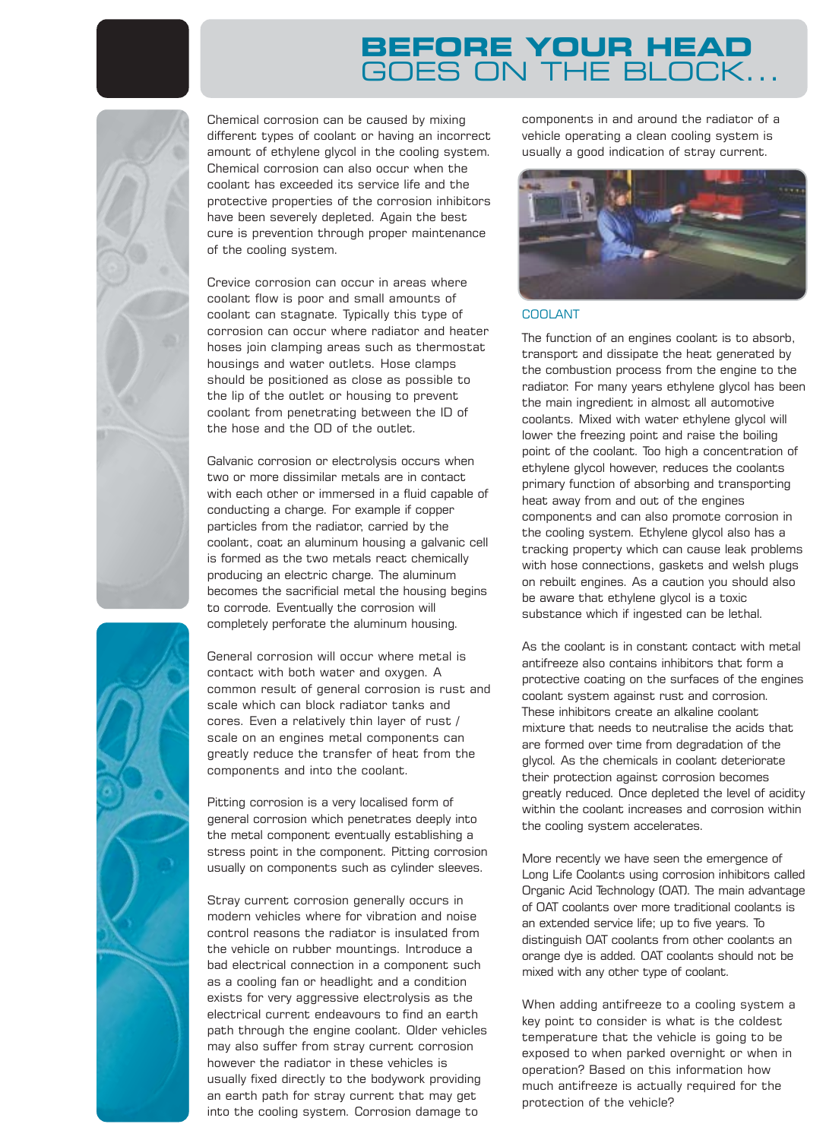Chemical corrosion can be caused by mixing different types of coolant or having an incorrect amount of ethylene glycol in the cooling system. Chemical corrosion can also occur when the coolant has exceeded its service life and the protective properties of the corrosion inhibitors have been severely depleted. Again the best cure is prevention through proper maintenance of the cooling system.

Crevice corrosion can occur in areas where coolant flow is poor and small amounts of coolant can stagnate. Typically this type of corrosion can occur where radiator and heater hoses join clamping areas such as thermostat housings and water outlets. Hose clamps should be positioned as close as possible to the lip of the outlet or housing to prevent coolant from penetrating between the ID of the hose and the OD of the outlet.

Galvanic corrosion or electrolysis occurs when two or more dissimilar metals are in contact with each other or immersed in a fluid capable of conducting a charge. For example if copper particles from the radiator, carried by the coolant, coat an aluminum housing a galvanic cell is formed as the two metals react chemically producing an electric charge. The aluminum becomes the sacrificial metal the housing begins to corrode. Eventually the corrosion will completely perforate the aluminum housing.

General corrosion will occur where metal is contact with both water and oxygen. A common result of general corrosion is rust and scale which can block radiator tanks and cores. Even a relatively thin layer of rust / scale on an engines metal components can greatly reduce the transfer of heat from the components and into the coolant.

Pitting corrosion is a very localised form of general corrosion which penetrates deeply into the metal component eventually establishing a stress point in the component. Pitting corrosion usually on components such as cylinder sleeves.

Stray current corrosion generally occurs in modern vehicles where for vibration and noise control reasons the radiator is insulated from the vehicle on rubber mountings. Introduce a bad electrical connection in a component such as a cooling fan or headlight and a condition exists for very aggressive electrolysis as the electrical current endeavours to find an earth path through the engine coolant. Older vehicles may also suffer from stray current corrosion however the radiator in these vehicles is usually fixed directly to the bodywork providing an earth path for stray current that may get into the cooling system. Corrosion damage to

components in and around the radiator of a vehicle operating a clean cooling system is usually a good indication of stray current.



### COOLANT

The function of an engines coolant is to absorb, transport and dissipate the heat generated by the combustion process from the engine to the radiator. For many years ethylene glycol has been the main ingredient in almost all automotive coolants. Mixed with water ethylene glycol will lower the freezing point and raise the boiling point of the coolant. Too high a concentration of ethylene glycol however, reduces the coolants primary function of absorbing and transporting heat away from and out of the engines components and can also promote corrosion in the cooling system. Ethylene glycol also has a tracking property which can cause leak problems with hose connections, gaskets and welsh plugs on rebuilt engines. As a caution you should also be aware that ethylene glycol is a toxic substance which if ingested can be lethal.

As the coolant is in constant contact with metal antifreeze also contains inhibitors that form a protective coating on the surfaces of the engines coolant system against rust and corrosion. These inhibitors create an alkaline coolant mixture that needs to neutralise the acids that are formed over time from degradation of the glycol. As the chemicals in coolant deteriorate their protection against corrosion becomes greatly reduced. Once depleted the level of acidity within the coolant increases and corrosion within the cooling system accelerates.

More recently we have seen the emergence of Long Life Coolants using corrosion inhibitors called Organic Acid Technology (OAT). The main advantage of OAT coolants over more traditional coolants is an extended service life; up to five years. To distinguish OAT coolants from other coolants an orange dye is added. OAT coolants should not be mixed with any other type of coolant.

When adding antifreeze to a cooling system a key point to consider is what is the coldest temperature that the vehicle is going to be exposed to when parked overnight or when in operation? Based on this information how much antifreeze is actually required for the protection of the vehicle?

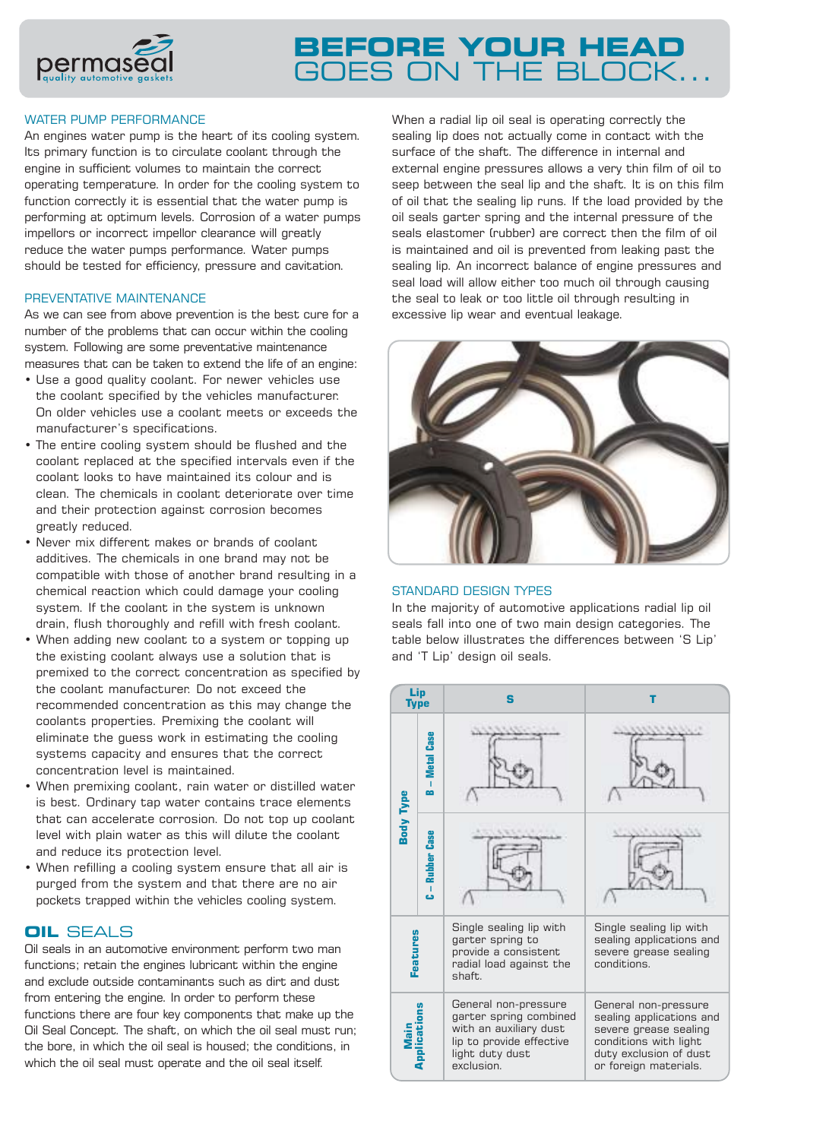

### WATER PUMP PERFORMANCE

An engines water pump is the heart of its cooling system. Its primary function is to circulate coolant through the engine in sufficient volumes to maintain the correct operating temperature. In order for the cooling system to function correctly it is essential that the water pump is performing at optimum levels. Corrosion of a water pumps impellors or incorrect impellor clearance will greatly reduce the water pumps performance. Water pumps should be tested for efficiency, pressure and cavitation.

#### PREVENTATIVE MAINTENANCE

As we can see from above prevention is the best cure for a number of the problems that can occur within the cooling system. Following are some preventative maintenance measures that can be taken to extend the life of an engine:

- Use a good quality coolant. For newer vehicles use the coolant specified by the vehicles manufacturer. On older vehicles use a coolant meets or exceeds the manufacturer's specifications.
- The entire cooling system should be flushed and the coolant replaced at the specified intervals even if the coolant looks to have maintained its colour and is clean. The chemicals in coolant deteriorate over time and their protection against corrosion becomes greatly reduced.
- Never mix different makes or brands of coolant additives. The chemicals in one brand may not be compatible with those of another brand resulting in a chemical reaction which could damage your cooling system. If the coolant in the system is unknown drain, flush thoroughly and refill with fresh coolant.
- When adding new coolant to a system or topping up the existing coolant always use a solution that is premixed to the correct concentration as specified by the coolant manufacturer. Do not exceed the recommended concentration as this may change the coolants properties. Premixing the coolant will eliminate the guess work in estimating the cooling systems capacity and ensures that the correct concentration level is maintained.
- When premixing coolant, rain water or distilled water is best. Ordinary tap water contains trace elements that can accelerate corrosion. Do not top up coolant level with plain water as this will dilute the coolant and reduce its protection level.
- When refilling a cooling system ensure that all air is purged from the system and that there are no air pockets trapped within the vehicles cooling system.

## **OIL** SEALS

Oil seals in an automotive environment perform two man functions; retain the engines lubricant within the engine and exclude outside contaminants such as dirt and dust from entering the engine. In order to perform these functions there are four key components that make up the Oil Seal Concept. The shaft, on which the oil seal must run; the bore, in which the oil seal is housed; the conditions, in which the oil seal must operate and the oil seal itself.

When a radial lip oil seal is operating correctly the sealing lip does not actually come in contact with the surface of the shaft. The difference in internal and external engine pressures allows a very thin film of oil to seep between the seal lip and the shaft. It is on this film of oil that the sealing lip runs. If the load provided by the oil seals garter spring and the internal pressure of the seals elastomer (rubber) are correct then the film of oil is maintained and oil is prevented from leaking past the sealing lip. An incorrect balance of engine pressures and seal load will allow either too much oil through causing the seal to leak or too little oil through resulting in excessive lip wear and eventual leakage.



### STANDARD DESIGN TYPES

In the majority of automotive applications radial lip oil seals fall into one of two main design categories. The table below illustrates the differences between 'S Lip' and 'T Lip' design oil seals.

| Lip<br>Type         |                     | S                                                                                                                                     |                                                                                                                                                       |
|---------------------|---------------------|---------------------------------------------------------------------------------------------------------------------------------------|-------------------------------------------------------------------------------------------------------------------------------------------------------|
| <b>Body Type</b>    | - Metal Case<br>œ   |                                                                                                                                       |                                                                                                                                                       |
|                     | - Rubber Case<br>ذء |                                                                                                                                       |                                                                                                                                                       |
| Features            |                     | Single sealing lip with<br>garter spring to<br>provide a consistent<br>radial load against the<br>shaft.                              | Single sealing lip with<br>sealing applications and<br>severe grease sealing<br>conditions.                                                           |
| Main<br>Application |                     | General non-pressure<br>garter spring combined<br>with an auxiliary dust<br>lip to provide effective<br>light duty dust<br>exclusion. | General non-pressure<br>sealing applications and<br>severe grease sealing<br>conditions with light<br>duty exclusion of dust<br>or foreign materials. |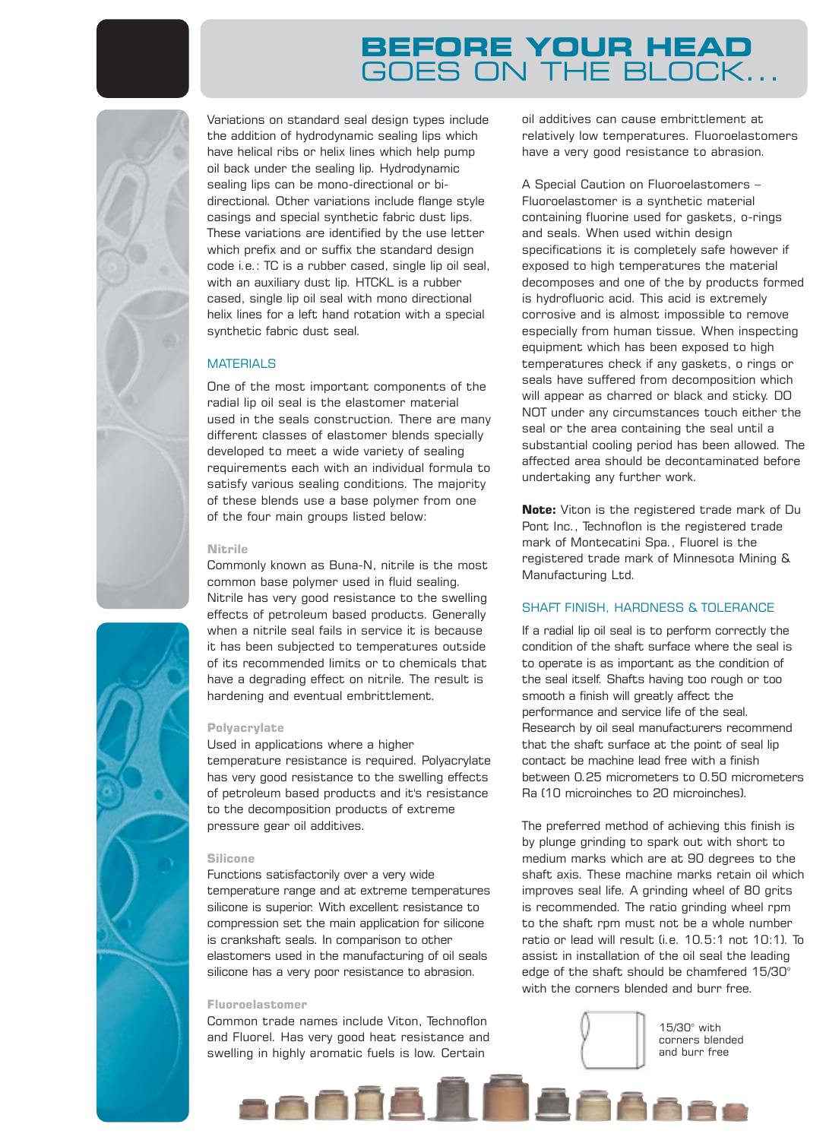

Variations on standard seal design types include the addition of hydrodynamic sealing lips which have helical ribs or helix lines which help pump oil back under the sealing lip. Hydrodynamic sealing lips can be mono-directional or bidirectional. Other variations include flange style casings and special synthetic fabric dust lips. These variations are identified by the use letter which prefix and or suffix the standard design code i.e.: TC is a rubber cased, single lip oil seal, with an auxiliary dust lip. HTCKL is a rubber cased, single lip oil seal with mono directional helix lines for a left hand rotation with a special synthetic fabric dust seal.

#### **MATERIALS**

One of the most important components of the radial lip oil seal is the elastomer material used in the seals construction. There are many different classes of elastomer blends specially developed to meet a wide variety of sealing requirements each with an individual formula to satisfy various sealing conditions. The majority of these blends use a base polymer from one of the four main groups listed below:

#### **Nitrile**

Commonly known as Buna-N, nitrile is the most common base polymer used in fluid sealing. Nitrile has very good resistance to the swelling effects of petroleum based products. Generally when a nitrile seal fails in service it is because it has been subjected to temperatures outside of its recommended limits or to chemicals that have a degrading effect on nitrile. The result is hardening and eventual embrittlement.

#### **Polyacrylate**

Used in applications where a higher temperature resistance is required. Polyacrylate has very good resistance to the swelling effects of petroleum based products and it's resistance to the decomposition products of extreme pressure gear oil additives.

#### **Silicone**

Functions satisfactorily over a very wide temperature range and at extreme temperatures silicone is superior. With excellent resistance to compression set the main application for silicone is crankshaft seals. In comparison to other elastomers used in the manufacturing of oil seals silicone has a very poor resistance to abrasion.

#### **Fluoroelastomer**

Common trade names include Viton, Technoflon and Fluorel. Has very good heat resistance and swelling in highly aromatic fuels is low. Certain

a a A A A H

oil additives can cause embrittlement at relatively low temperatures. Fluoroelastomers have a very good resistance to abrasion.

A Special Caution on Fluoroelastomers – Fluoroelastomer is a synthetic material containing fluorine used for gaskets, o-rings and seals. When used within design specifications it is completely safe however if exposed to high temperatures the material decomposes and one of the by products formed is hydrofluoric acid. This acid is extremely corrosive and is almost impossible to remove especially from human tissue. When inspecting equipment which has been exposed to high temperatures check if any gaskets, o rings or seals have suffered from decomposition which will appear as charred or black and sticky. DO NOT under any circumstances touch either the seal or the area containing the seal until a substantial cooling period has been allowed. The affected area should be decontaminated before undertaking any further work.

**Note:** Viton is the registered trade mark of Du Pont Inc., Technoflon is the registered trade mark of Montecatini Spa., Fluorel is the registered trade mark of Minnesota Mining & Manufacturing Ltd.

#### SHAFT FINISH, HARDNESS & TOLERANCE

If a radial lip oil seal is to perform correctly the condition of the shaft surface where the seal is to operate is as important as the condition of the seal itself. Shafts having too rough or too smooth a finish will greatly affect the performance and service life of the seal. Research by oil seal manufacturers recommend that the shaft surface at the point of seal lip contact be machine lead free with a finish between 0.25 micrometers to 0.50 micrometers Ra (10 microinches to 20 microinches).

The preferred method of achieving this finish is by plunge grinding to spark out with short to medium marks which are at 90 degrees to the shaft axis. These machine marks retain oil which improves seal life. A grinding wheel of 80 grits is recommended. The ratio grinding wheel rpm to the shaft rpm must not be a whole number ratio or lead will result (i.e. 10.5:1 not 10:1). To assist in installation of the oil seal the leading edge of the shaft should be chamfered 15/30° with the corners blended and burr free.



**FAAa** 

15/30° with corners blended and burr free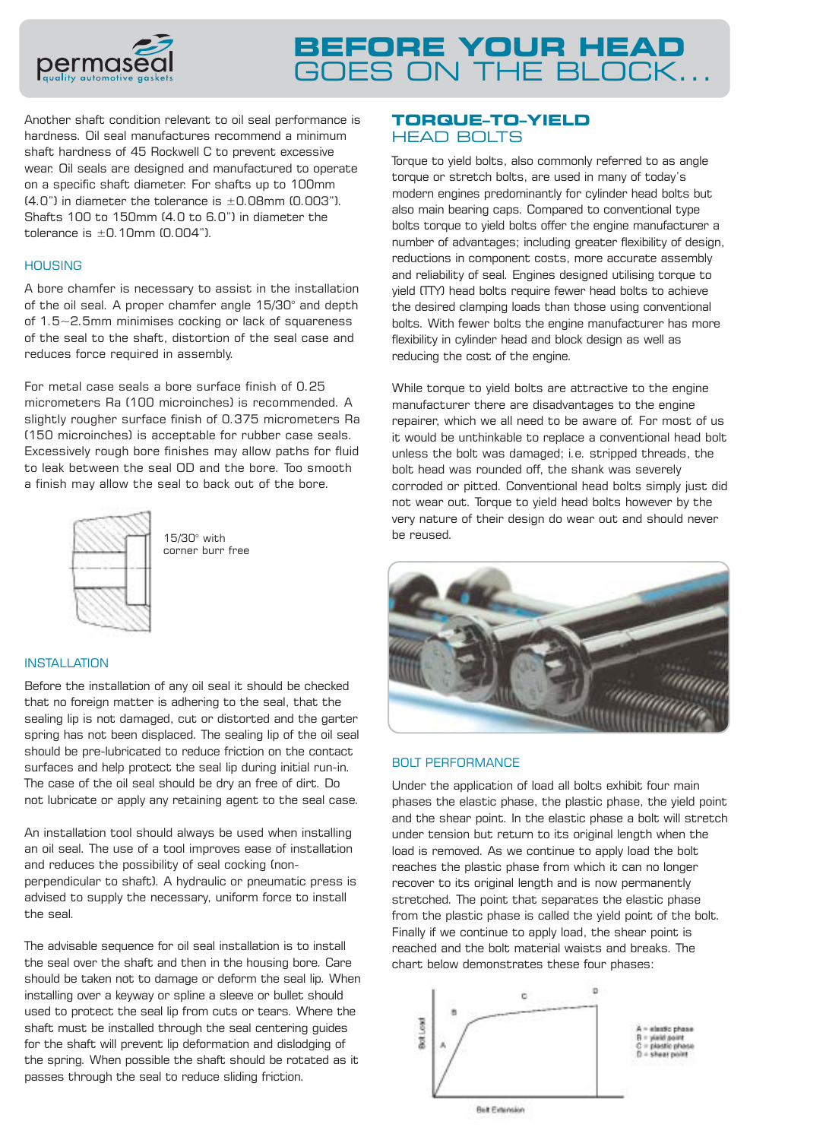

Another shaft condition relevant to oil seal performance is hardness. Oil seal manufactures recommend a minimum shaft hardness of 45 Rockwell C to prevent excessive wear. Oil seals are designed and manufactured to operate on a specific shaft diameter. For shafts up to 100mm  $(4.0")$  in diameter the tolerance is  $\pm 0.08$ mm  $(0.003")$ . Shafts 100 to 150mm (4.0 to 6.0") in diameter the tolerance is  $+0.10$ mm  $(0.004")$ .

#### **HOUSING**

A bore chamfer is necessary to assist in the installation of the oil seal. A proper chamfer angle 15/30° and depth of 1.5~2.5mm minimises cocking or lack of squareness of the seal to the shaft, distortion of the seal case and reduces force required in assembly.

For metal case seals a bore surface finish of 0.25 micrometers Ra (100 microinches) is recommended. A slightly rougher surface finish of 0.375 micrometers Ra (150 microinches) is acceptable for rubber case seals. Excessively rough bore finishes may allow paths for fluid to leak between the seal OD and the bore. Too smooth a finish may allow the seal to back out of the bore.



15/30° with corner burr free

### **INSTALLATION**

Before the installation of any oil seal it should be checked that no foreign matter is adhering to the seal, that the sealing lip is not damaged, cut or distorted and the garter spring has not been displaced. The sealing lip of the oil seal should be pre-lubricated to reduce friction on the contact surfaces and help protect the seal lip during initial run-in. The case of the oil seal should be dry an free of dirt. Do not lubricate or apply any retaining agent to the seal case.

An installation tool should always be used when installing an oil seal. The use of a tool improves ease of installation and reduces the possibility of seal cocking (nonperpendicular to shaft). A hydraulic or pneumatic press is advised to supply the necessary, uniform force to install the seal.

The advisable sequence for oil seal installation is to install the seal over the shaft and then in the housing bore. Care should be taken not to damage or deform the seal lip. When installing over a keyway or spline a sleeve or bullet should used to protect the seal lip from cuts or tears. Where the shaft must be installed through the seal centering guides for the shaft will prevent lip deformation and dislodging of the spring. When possible the shaft should be rotated as it passes through the seal to reduce sliding friction.

### **TORQUE–TO–YIELD**  HEAD BOLTS

Torque to yield bolts, also commonly referred to as angle torque or stretch bolts, are used in many of today's modern engines predominantly for cylinder head bolts but also main bearing caps. Compared to conventional type bolts torque to yield bolts offer the engine manufacturer a number of advantages; including greater flexibility of design, reductions in component costs, more accurate assembly and reliability of seal. Engines designed utilising torque to yield (TTY) head bolts require fewer head bolts to achieve the desired clamping loads than those using conventional bolts. With fewer bolts the engine manufacturer has more flexibility in cylinder head and block design as well as reducing the cost of the engine.

While torque to yield bolts are attractive to the engine manufacturer there are disadvantages to the engine repairer, which we all need to be aware of. For most of us it would be unthinkable to replace a conventional head bolt unless the bolt was damaged; i.e. stripped threads, the bolt head was rounded off, the shank was severely corroded or pitted. Conventional head bolts simply just did not wear out. Torque to yield head bolts however by the very nature of their design do wear out and should never be reused.



#### BOLT PERFORMANCE

Under the application of load all bolts exhibit four main phases the elastic phase, the plastic phase, the yield point and the shear point. In the elastic phase a bolt will stretch under tension but return to its original length when the load is removed. As we continue to apply load the bolt reaches the plastic phase from which it can no longer recover to its original length and is now permanently stretched. The point that separates the elastic phase from the plastic phase is called the yield point of the bolt. Finally if we continue to apply load, the shear point is reached and the bolt material waists and breaks. The chart below demonstrates these four phases:



**But Finanskin**